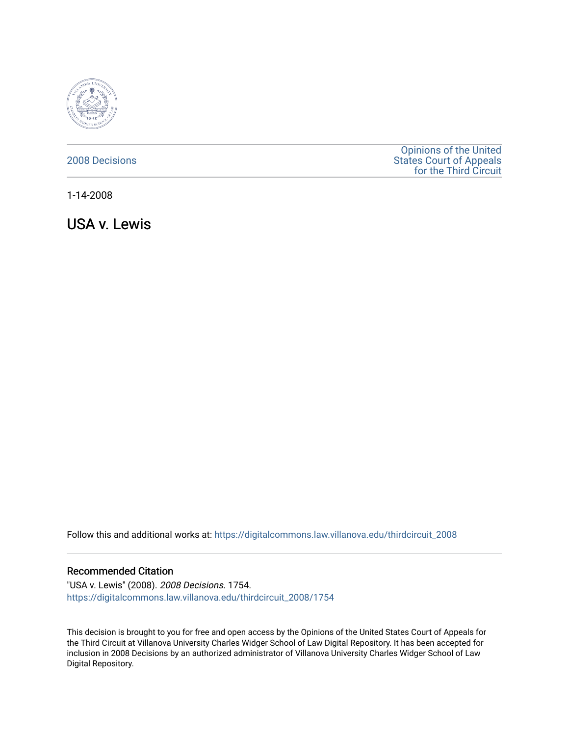

# [2008 Decisions](https://digitalcommons.law.villanova.edu/thirdcircuit_2008)

[Opinions of the United](https://digitalcommons.law.villanova.edu/thirdcircuit)  [States Court of Appeals](https://digitalcommons.law.villanova.edu/thirdcircuit)  [for the Third Circuit](https://digitalcommons.law.villanova.edu/thirdcircuit) 

1-14-2008

USA v. Lewis

Follow this and additional works at: [https://digitalcommons.law.villanova.edu/thirdcircuit\\_2008](https://digitalcommons.law.villanova.edu/thirdcircuit_2008?utm_source=digitalcommons.law.villanova.edu%2Fthirdcircuit_2008%2F1754&utm_medium=PDF&utm_campaign=PDFCoverPages) 

### Recommended Citation

"USA v. Lewis" (2008). 2008 Decisions. 1754. [https://digitalcommons.law.villanova.edu/thirdcircuit\\_2008/1754](https://digitalcommons.law.villanova.edu/thirdcircuit_2008/1754?utm_source=digitalcommons.law.villanova.edu%2Fthirdcircuit_2008%2F1754&utm_medium=PDF&utm_campaign=PDFCoverPages) 

This decision is brought to you for free and open access by the Opinions of the United States Court of Appeals for the Third Circuit at Villanova University Charles Widger School of Law Digital Repository. It has been accepted for inclusion in 2008 Decisions by an authorized administrator of Villanova University Charles Widger School of Law Digital Repository.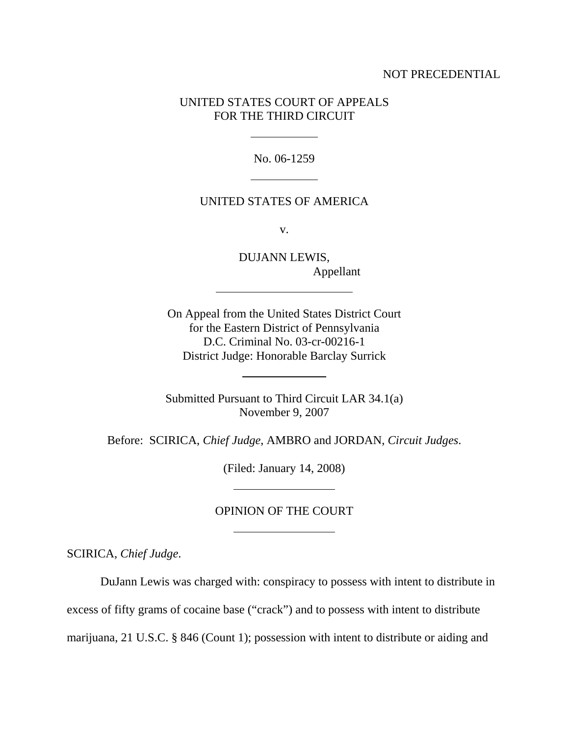## NOT PRECEDENTIAL

# UNITED STATES COURT OF APPEALS FOR THE THIRD CIRCUIT

No. 06-1259

## UNITED STATES OF AMERICA

v.

DUJANN LEWIS, Appellant

On Appeal from the United States District Court for the Eastern District of Pennsylvania D.C. Criminal No. 03-cr-00216-1 District Judge: Honorable Barclay Surrick

Submitted Pursuant to Third Circuit LAR 34.1(a) November 9, 2007

Before: SCIRICA, *Chief Judge*, AMBRO and JORDAN, *Circuit Judges*.

(Filed: January 14, 2008)

# OPINION OF THE COURT

SCIRICA, *Chief Judge*.

DuJann Lewis was charged with: conspiracy to possess with intent to distribute in

excess of fifty grams of cocaine base ("crack") and to possess with intent to distribute

marijuana, 21 U.S.C. § 846 (Count 1); possession with intent to distribute or aiding and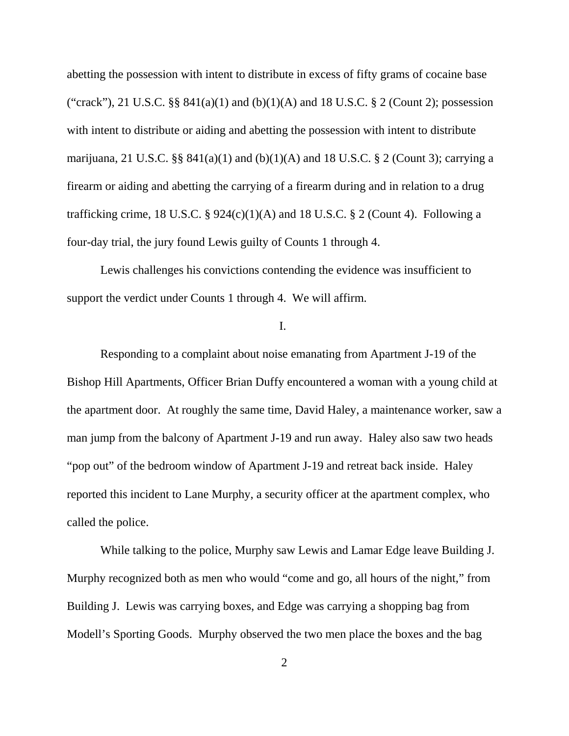abetting the possession with intent to distribute in excess of fifty grams of cocaine base ("crack"), 21 U.S.C.  $\S$ §  $841(a)(1)$  and  $(b)(1)(A)$  and 18 U.S.C. § 2 (Count 2); possession with intent to distribute or aiding and abetting the possession with intent to distribute marijuana, 21 U.S.C. §§  $841(a)(1)$  and  $(b)(1)(A)$  and 18 U.S.C. § 2 (Count 3); carrying a firearm or aiding and abetting the carrying of a firearm during and in relation to a drug trafficking crime, 18 U.S.C. §  $924(c)(1)(A)$  and 18 U.S.C. § 2 (Count 4). Following a four-day trial, the jury found Lewis guilty of Counts 1 through 4.

Lewis challenges his convictions contending the evidence was insufficient to support the verdict under Counts 1 through 4. We will affirm.

I.

Responding to a complaint about noise emanating from Apartment J-19 of the Bishop Hill Apartments, Officer Brian Duffy encountered a woman with a young child at the apartment door. At roughly the same time, David Haley, a maintenance worker, saw a man jump from the balcony of Apartment J-19 and run away. Haley also saw two heads "pop out" of the bedroom window of Apartment J-19 and retreat back inside. Haley reported this incident to Lane Murphy, a security officer at the apartment complex, who called the police.

While talking to the police, Murphy saw Lewis and Lamar Edge leave Building J. Murphy recognized both as men who would "come and go, all hours of the night," from Building J. Lewis was carrying boxes, and Edge was carrying a shopping bag from Modell's Sporting Goods. Murphy observed the two men place the boxes and the bag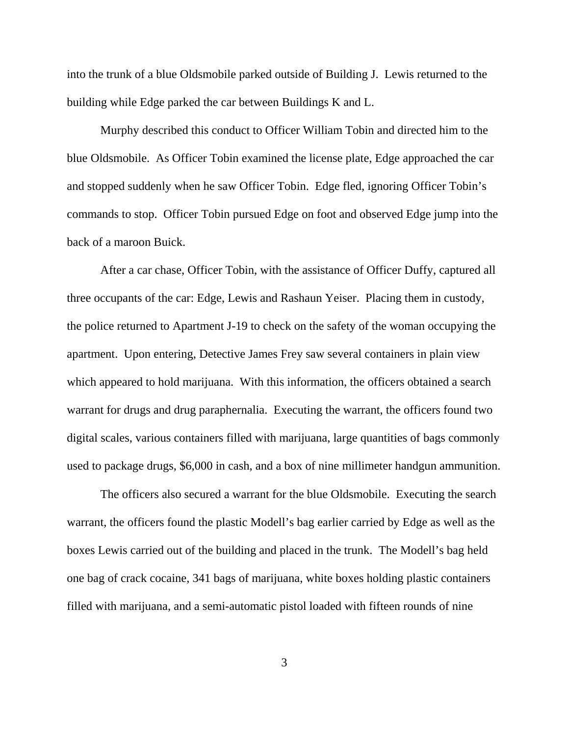into the trunk of a blue Oldsmobile parked outside of Building J. Lewis returned to the building while Edge parked the car between Buildings K and L.

Murphy described this conduct to Officer William Tobin and directed him to the blue Oldsmobile. As Officer Tobin examined the license plate, Edge approached the car and stopped suddenly when he saw Officer Tobin. Edge fled, ignoring Officer Tobin's commands to stop. Officer Tobin pursued Edge on foot and observed Edge jump into the back of a maroon Buick.

After a car chase, Officer Tobin, with the assistance of Officer Duffy, captured all three occupants of the car: Edge, Lewis and Rashaun Yeiser. Placing them in custody, the police returned to Apartment J-19 to check on the safety of the woman occupying the apartment. Upon entering, Detective James Frey saw several containers in plain view which appeared to hold marijuana. With this information, the officers obtained a search warrant for drugs and drug paraphernalia. Executing the warrant, the officers found two digital scales, various containers filled with marijuana, large quantities of bags commonly used to package drugs, \$6,000 in cash, and a box of nine millimeter handgun ammunition.

The officers also secured a warrant for the blue Oldsmobile. Executing the search warrant, the officers found the plastic Modell's bag earlier carried by Edge as well as the boxes Lewis carried out of the building and placed in the trunk. The Modell's bag held one bag of crack cocaine, 341 bags of marijuana, white boxes holding plastic containers filled with marijuana, and a semi-automatic pistol loaded with fifteen rounds of nine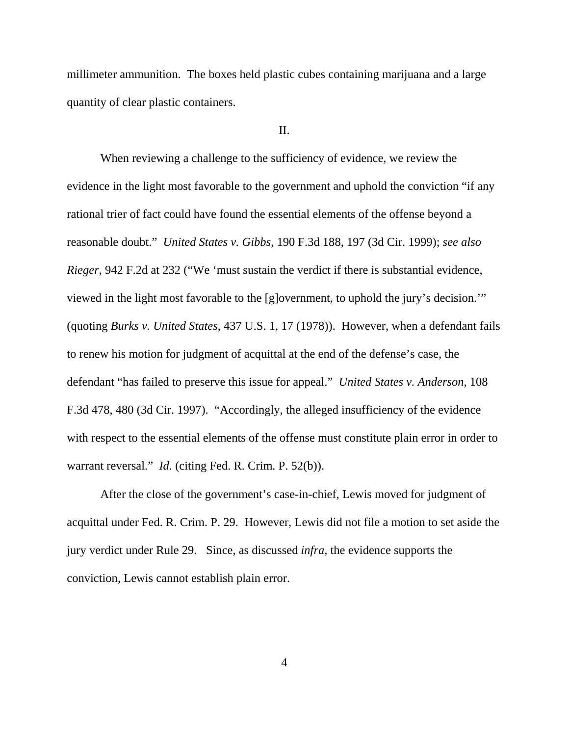millimeter ammunition. The boxes held plastic cubes containing marijuana and a large quantity of clear plastic containers.

II.

When reviewing a challenge to the sufficiency of evidence, we review the evidence in the light most favorable to the government and uphold the conviction "if any rational trier of fact could have found the essential elements of the offense beyond a reasonable doubt." *United States v. Gibbs*, 190 F.3d 188, 197 (3d Cir. 1999); *see also Rieger*, 942 F.2d at 232 ("We 'must sustain the verdict if there is substantial evidence, viewed in the light most favorable to the [g]overnment, to uphold the jury's decision.'" (quoting *Burks v. United States*, 437 U.S. 1, 17 (1978)). However, when a defendant fails to renew his motion for judgment of acquittal at the end of the defense's case, the defendant "has failed to preserve this issue for appeal." *United States v. Anderson*, 108 F.3d 478, 480 (3d Cir. 1997). "Accordingly, the alleged insufficiency of the evidence with respect to the essential elements of the offense must constitute plain error in order to warrant reversal." *Id.* (citing Fed. R. Crim. P. 52(b)).

After the close of the government's case-in-chief, Lewis moved for judgment of acquittal under Fed. R. Crim. P. 29. However, Lewis did not file a motion to set aside the jury verdict under Rule 29. Since, as discussed *infra*, the evidence supports the conviction, Lewis cannot establish plain error.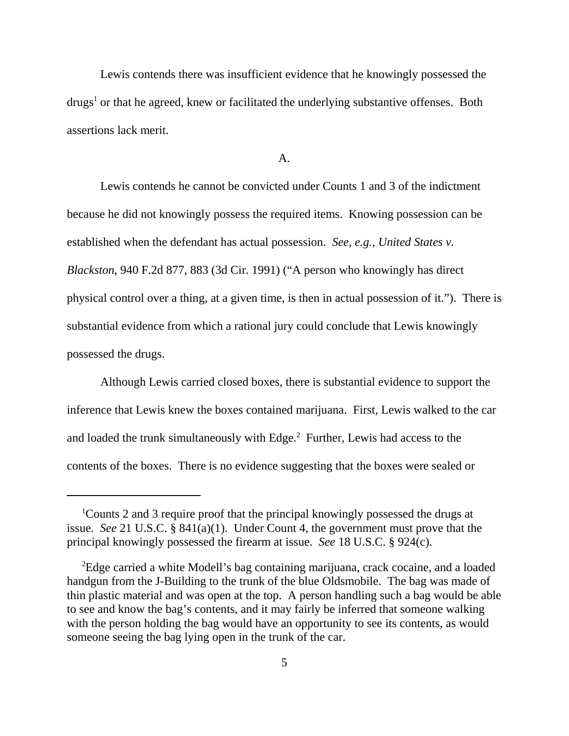Lewis contends there was insufficient evidence that he knowingly possessed the drugs<sup>1</sup> or that he agreed, knew or facilitated the underlying substantive offenses. Both assertions lack merit.

A.

Lewis contends he cannot be convicted under Counts 1 and 3 of the indictment because he did not knowingly possess the required items. Knowing possession can be established when the defendant has actual possession. *See, e.g., United States v. Blackston*, 940 F.2d 877, 883 (3d Cir. 1991) ("A person who knowingly has direct physical control over a thing, at a given time, is then in actual possession of it."). There is substantial evidence from which a rational jury could conclude that Lewis knowingly possessed the drugs.

Although Lewis carried closed boxes, there is substantial evidence to support the inference that Lewis knew the boxes contained marijuana. First, Lewis walked to the car and loaded the trunk simultaneously with Edge.<sup>2</sup> Further, Lewis had access to the contents of the boxes. There is no evidence suggesting that the boxes were sealed or

<sup>&</sup>lt;sup>1</sup>Counts 2 and 3 require proof that the principal knowingly possessed the drugs at issue. *See* 21 U.S.C. § 841(a)(1). Under Count 4, the government must prove that the principal knowingly possessed the firearm at issue. *See* 18 U.S.C. § 924(c).

<sup>&</sup>lt;sup>2</sup>Edge carried a white Modell's bag containing marijuana, crack cocaine, and a loaded handgun from the J-Building to the trunk of the blue Oldsmobile. The bag was made of thin plastic material and was open at the top. A person handling such a bag would be able to see and know the bag's contents, and it may fairly be inferred that someone walking with the person holding the bag would have an opportunity to see its contents, as would someone seeing the bag lying open in the trunk of the car.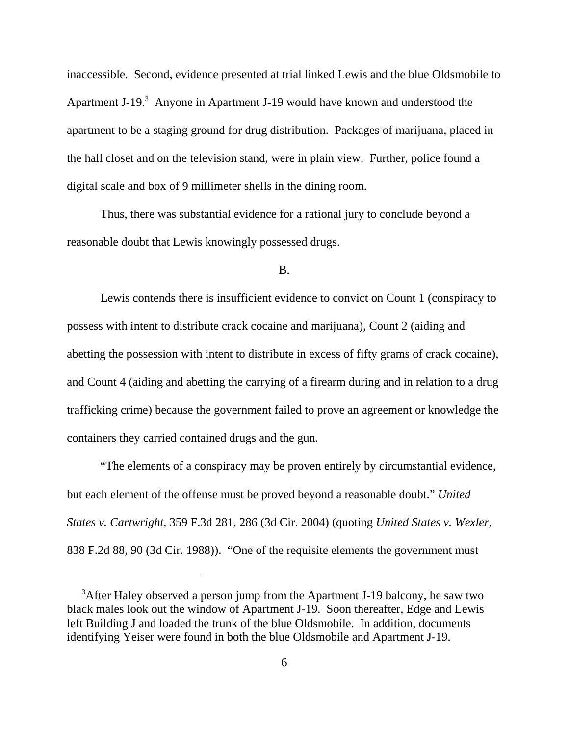inaccessible. Second, evidence presented at trial linked Lewis and the blue Oldsmobile to Apartment J-19.<sup>3</sup> Anyone in Apartment J-19 would have known and understood the apartment to be a staging ground for drug distribution. Packages of marijuana, placed in the hall closet and on the television stand, were in plain view. Further, police found a digital scale and box of 9 millimeter shells in the dining room.

Thus, there was substantial evidence for a rational jury to conclude beyond a reasonable doubt that Lewis knowingly possessed drugs.

#### B.

Lewis contends there is insufficient evidence to convict on Count 1 (conspiracy to possess with intent to distribute crack cocaine and marijuana), Count 2 (aiding and abetting the possession with intent to distribute in excess of fifty grams of crack cocaine), and Count 4 (aiding and abetting the carrying of a firearm during and in relation to a drug trafficking crime) because the government failed to prove an agreement or knowledge the containers they carried contained drugs and the gun.

"The elements of a conspiracy may be proven entirely by circumstantial evidence, but each element of the offense must be proved beyond a reasonable doubt." *United States v. Cartwright*, 359 F.3d 281, 286 (3d Cir. 2004) (quoting *United States v. Wexler*, 838 F.2d 88, 90 (3d Cir. 1988)). "One of the requisite elements the government must

<sup>&</sup>lt;sup>3</sup>After Haley observed a person jump from the Apartment J-19 balcony, he saw two black males look out the window of Apartment J-19. Soon thereafter, Edge and Lewis left Building J and loaded the trunk of the blue Oldsmobile. In addition, documents identifying Yeiser were found in both the blue Oldsmobile and Apartment J-19.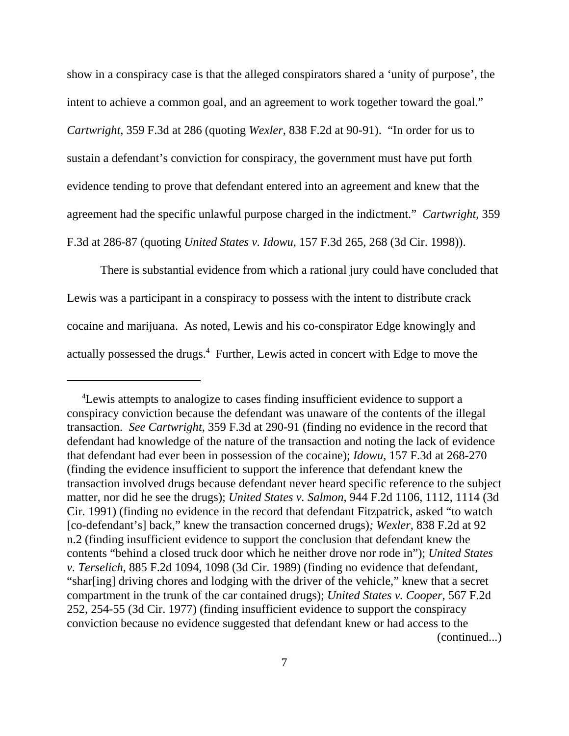show in a conspiracy case is that the alleged conspirators shared a 'unity of purpose', the intent to achieve a common goal, and an agreement to work together toward the goal." *Cartwright*, 359 F.3d at 286 (quoting *Wexler*, 838 F.2d at 90-91). "In order for us to sustain a defendant's conviction for conspiracy, the government must have put forth evidence tending to prove that defendant entered into an agreement and knew that the agreement had the specific unlawful purpose charged in the indictment." *Cartwright*, 359 F.3d at 286-87 (quoting *United States v. Idowu*, 157 F.3d 265, 268 (3d Cir. 1998)).

There is substantial evidence from which a rational jury could have concluded that Lewis was a participant in a conspiracy to possess with the intent to distribute crack cocaine and marijuana. As noted, Lewis and his co-conspirator Edge knowingly and actually possessed the drugs.<sup>4</sup> Further, Lewis acted in concert with Edge to move the

<sup>&</sup>lt;sup>4</sup>Lewis attempts to analogize to cases finding insufficient evidence to support a conspiracy conviction because the defendant was unaware of the contents of the illegal transaction. *See Cartwright*, 359 F.3d at 290-91 (finding no evidence in the record that defendant had knowledge of the nature of the transaction and noting the lack of evidence that defendant had ever been in possession of the cocaine); *Idowu*, 157 F.3d at 268-270 (finding the evidence insufficient to support the inference that defendant knew the transaction involved drugs because defendant never heard specific reference to the subject matter, nor did he see the drugs); *United States v. Salmon*, 944 F.2d 1106, 1112, 1114 (3d Cir. 1991) (finding no evidence in the record that defendant Fitzpatrick, asked "to watch [co-defendant's] back," knew the transaction concerned drugs)*; Wexler*, 838 F.2d at 92 n.2 (finding insufficient evidence to support the conclusion that defendant knew the contents "behind a closed truck door which he neither drove nor rode in"); *United States v. Terselich*, 885 F.2d 1094, 1098 (3d Cir. 1989) (finding no evidence that defendant, "shar[ing] driving chores and lodging with the driver of the vehicle," knew that a secret compartment in the trunk of the car contained drugs); *United States v. Cooper*, 567 F.2d 252, 254-55 (3d Cir. 1977) (finding insufficient evidence to support the conspiracy conviction because no evidence suggested that defendant knew or had access to the (continued...)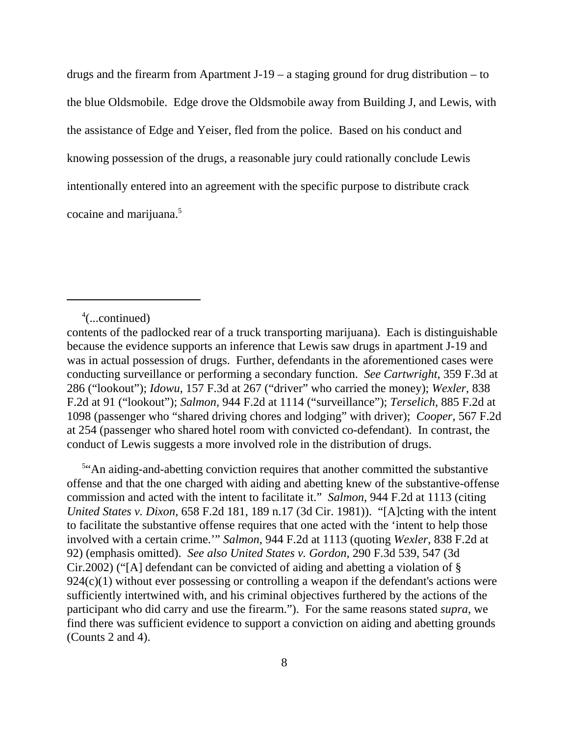drugs and the firearm from Apartment J-19 – a staging ground for drug distribution – to the blue Oldsmobile. Edge drove the Oldsmobile away from Building J, and Lewis, with the assistance of Edge and Yeiser, fled from the police. Based on his conduct and knowing possession of the drugs, a reasonable jury could rationally conclude Lewis intentionally entered into an agreement with the specific purpose to distribute crack cocaine and marijuana.5

4 (...continued)

 5 "An aiding-and-abetting conviction requires that another committed the substantive offense and that the one charged with aiding and abetting knew of the substantive-offense commission and acted with the intent to facilitate it." *Salmon*, 944 F.2d at 1113 (citing *United States v. Dixon*, 658 F.2d 181, 189 n.17 (3d Cir. 1981)). "[A]cting with the intent to facilitate the substantive offense requires that one acted with the 'intent to help those involved with a certain crime.'" *Salmon*, 944 F.2d at 1113 (quoting *Wexler*, 838 F.2d at 92) (emphasis omitted). *See also United States v. Gordon*, 290 F.3d 539, 547 (3d Cir.2002) ("[A] defendant can be convicted of aiding and abetting a violation of § 924(c)(1) without ever possessing or controlling a weapon if the defendant's actions were sufficiently intertwined with, and his criminal objectives furthered by the actions of the participant who did carry and use the firearm."). For the same reasons stated *supra*, we find there was sufficient evidence to support a conviction on aiding and abetting grounds (Counts 2 and 4).

contents of the padlocked rear of a truck transporting marijuana). Each is distinguishable because the evidence supports an inference that Lewis saw drugs in apartment J-19 and was in actual possession of drugs. Further, defendants in the aforementioned cases were conducting surveillance or performing a secondary function. *See Cartwright*, 359 F.3d at 286 ("lookout"); *Idowu*, 157 F.3d at 267 ("driver" who carried the money); *Wexler*, 838 F.2d at 91 ("lookout"); *Salmon*, 944 F.2d at 1114 ("surveillance"); *Terselich*, 885 F.2d at 1098 (passenger who "shared driving chores and lodging" with driver); *Cooper*, 567 F.2d at 254 (passenger who shared hotel room with convicted co-defendant). In contrast, the conduct of Lewis suggests a more involved role in the distribution of drugs.